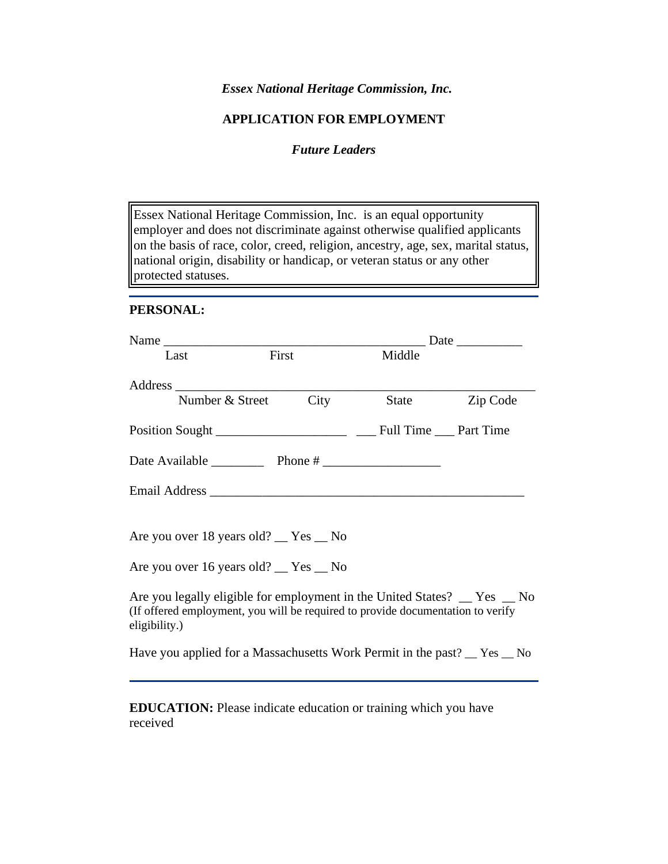*Essex National Heritage Commission, Inc.*

## **APPLICATION FOR EMPLOYMENT**

## *Future Leaders*

Essex National Heritage Commission, Inc. is an equal opportunity employer and does not discriminate against otherwise qualified applicants on the basis of race, color, creed, religion, ancestry, age, sex, marital status, national origin, disability or handicap, or veteran status or any other protected statuses.

#### **PERSONAL:**

| Last                                                                                                                                                                         | First                |  | Middle |          |
|------------------------------------------------------------------------------------------------------------------------------------------------------------------------------|----------------------|--|--------|----------|
|                                                                                                                                                                              | Number & Street City |  | State  | Zip Code |
|                                                                                                                                                                              |                      |  |        |          |
| Date Available Phone #                                                                                                                                                       |                      |  |        |          |
|                                                                                                                                                                              |                      |  |        |          |
|                                                                                                                                                                              |                      |  |        |          |
| Are you over 18 years old? __ Yes __ No                                                                                                                                      |                      |  |        |          |
| Are you over 16 years old? $Yes$ No                                                                                                                                          |                      |  |        |          |
| Are you legally eligible for employment in the United States? _ Yes _ No<br>(If offered employment, you will be required to provide documentation to verify<br>eligibility.) |                      |  |        |          |
| Have you applied for a Massachusetts Work Permit in the past? $\_\,$ Yes $\_\,$ No                                                                                           |                      |  |        |          |

**EDUCATION:** Please indicate education or training which you have received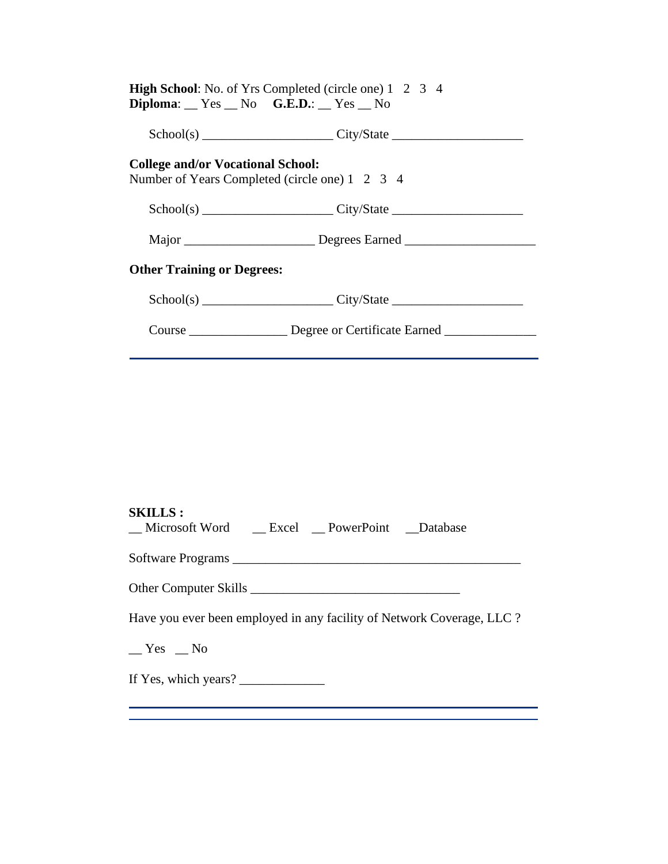|                                                | <b>High School:</b> No. of Yrs Completed (circle one) 1 2 3 4         |  |
|------------------------------------------------|-----------------------------------------------------------------------|--|
| $Diploma:$ $Yes$ $No$ $G.E.D.:$ $Yes$ $No$     |                                                                       |  |
|                                                | $Sthool(s)$ $City/State$ $City/State$                                 |  |
| <b>College and/or Vocational School:</b>       |                                                                       |  |
| Number of Years Completed (circle one) 1 2 3 4 |                                                                       |  |
|                                                | $Sthool(s)$ $City/State$ $City/State$                                 |  |
|                                                |                                                                       |  |
| <b>Other Training or Degrees:</b>              |                                                                       |  |
|                                                | $Sthool(s)$ $City/State$ $City/State$                                 |  |
|                                                | Course __________________ Degree or Certificate Earned ______________ |  |
|                                                |                                                                       |  |

# **SKILLS :**

| _Microsoft Word __Excel _PowerPoint __Database                         |
|------------------------------------------------------------------------|
|                                                                        |
|                                                                        |
| Have you ever been employed in any facility of Network Coverage, LLC ? |
| $Yes$ No                                                               |
| If Yes, which years? $\frac{1}{2}$                                     |
|                                                                        |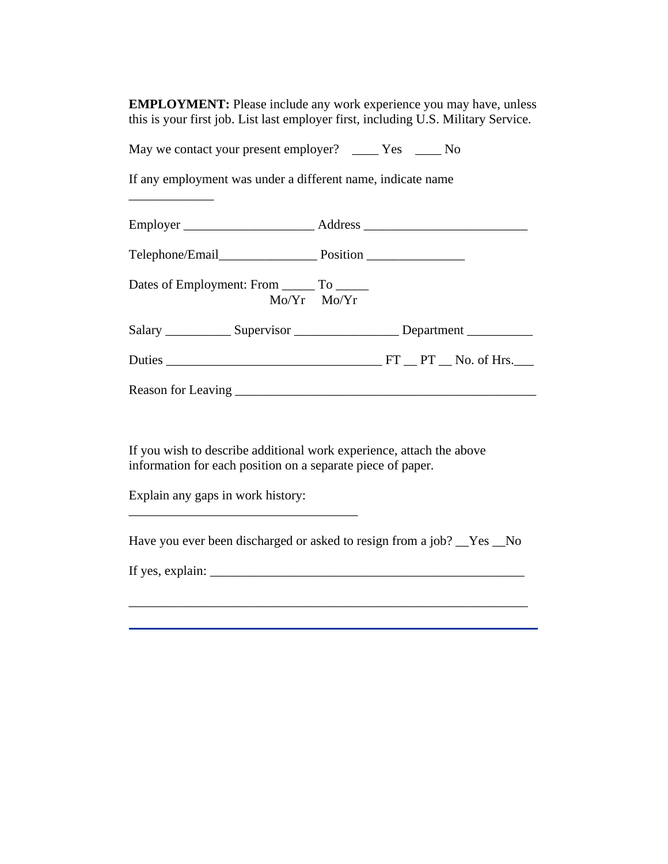**EMPLOYMENT:** Please include any work experience you may have, unless this is your first job. List last employer first, including U.S. Military Service.

May we contact your present employer? \_\_\_\_ Yes \_\_\_\_ No

If any employment was under a different name, indicate name

| Dates of Employment: From ________ To _______<br>$Mo/Yr$ $Mo/Yr$ |                                                                                  |
|------------------------------------------------------------------|----------------------------------------------------------------------------------|
|                                                                  | Salary ______________ Supervisor ________________________ Department ___________ |
|                                                                  | Duties FT PT No. of Hrs.                                                         |
|                                                                  |                                                                                  |

If you wish to describe additional work experience, attach the above information for each position on a separate piece of paper.

Explain any gaps in work history:

Have you ever been discharged or asked to resign from a job? \_\_Yes \_\_No

If yes, explain:  $\Box$ 

\_\_\_\_\_\_\_\_\_\_\_\_\_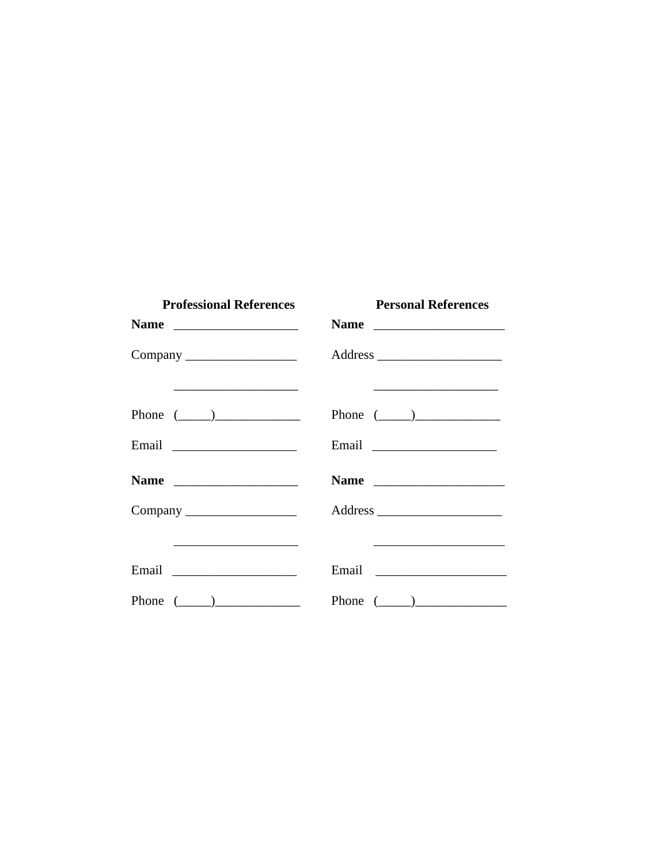| <b>Professional References</b> | <b>Personal References</b>                                                                                                              |
|--------------------------------|-----------------------------------------------------------------------------------------------------------------------------------------|
|                                |                                                                                                                                         |
| Company                        |                                                                                                                                         |
| Phone $(\_\_)$                 | <u> 1989 - Johann John Stein, markin fan it ferstjer fan de ferstjer fan it ferstjer fan it ferstjer fan it ferst</u><br>Phone $(\_\_)$ |
|                                |                                                                                                                                         |
|                                |                                                                                                                                         |
|                                |                                                                                                                                         |
|                                |                                                                                                                                         |
|                                |                                                                                                                                         |
| Phone $(\_\_)$                 | Phone $(\_\_)$                                                                                                                          |